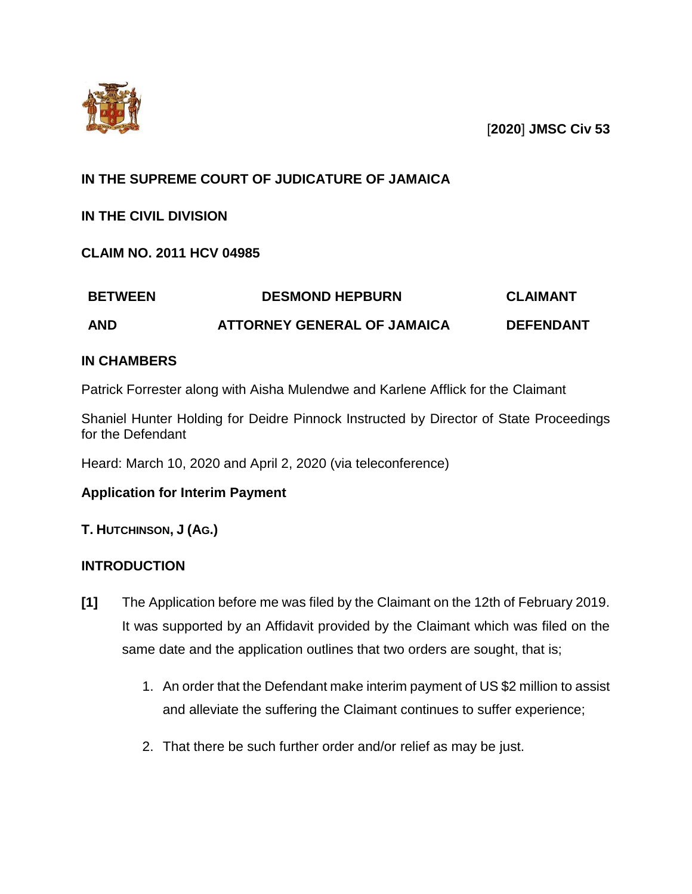

[**2020**] **JMSC Civ 53**

# **IN THE SUPREME COURT OF JUDICATURE OF JAMAICA**

## **IN THE CIVIL DIVISION**

**CLAIM NO. 2011 HCV 04985**

| <b>BETWEEN</b> | <b>DESMOND HEPBURN</b>             | CLAIMANT         |
|----------------|------------------------------------|------------------|
| <b>AND</b>     | <b>ATTORNEY GENERAL OF JAMAICA</b> | <b>DEFENDANT</b> |

## **IN CHAMBERS**

Patrick Forrester along with Aisha Mulendwe and Karlene Afflick for the Claimant

Shaniel Hunter Holding for Deidre Pinnock Instructed by Director of State Proceedings for the Defendant

Heard: March 10, 2020 and April 2, 2020 (via teleconference)

## **Application for Interim Payment**

## **T. HUTCHINSON, J (AG.)**

## **INTRODUCTION**

- **[1]** The Application before me was filed by the Claimant on the 12th of February 2019. It was supported by an Affidavit provided by the Claimant which was filed on the same date and the application outlines that two orders are sought, that is;
	- 1. An order that the Defendant make interim payment of US \$2 million to assist and alleviate the suffering the Claimant continues to suffer experience;
	- 2. That there be such further order and/or relief as may be just.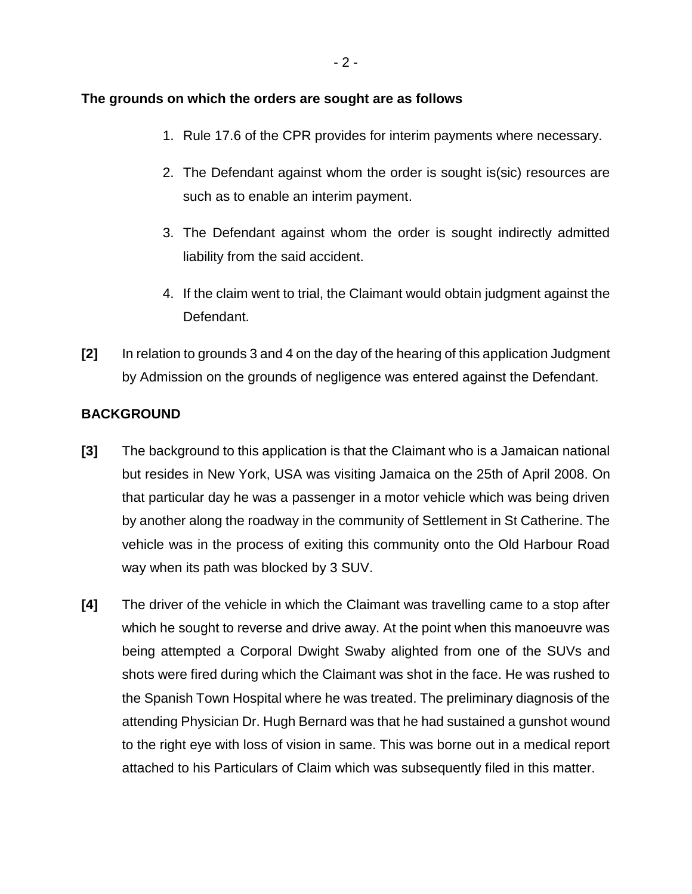#### **The grounds on which the orders are sought are as follows**

- 1. Rule 17.6 of the CPR provides for interim payments where necessary.
- 2. The Defendant against whom the order is sought is(sic) resources are such as to enable an interim payment.
- 3. The Defendant against whom the order is sought indirectly admitted liability from the said accident.
- 4. If the claim went to trial, the Claimant would obtain judgment against the Defendant.
- **[2]** In relation to grounds 3 and 4 on the day of the hearing of this application Judgment by Admission on the grounds of negligence was entered against the Defendant.

### **BACKGROUND**

- **[3]** The background to this application is that the Claimant who is a Jamaican national but resides in New York, USA was visiting Jamaica on the 25th of April 2008. On that particular day he was a passenger in a motor vehicle which was being driven by another along the roadway in the community of Settlement in St Catherine. The vehicle was in the process of exiting this community onto the Old Harbour Road way when its path was blocked by 3 SUV.
- **[4]** The driver of the vehicle in which the Claimant was travelling came to a stop after which he sought to reverse and drive away. At the point when this manoeuvre was being attempted a Corporal Dwight Swaby alighted from one of the SUVs and shots were fired during which the Claimant was shot in the face. He was rushed to the Spanish Town Hospital where he was treated. The preliminary diagnosis of the attending Physician Dr. Hugh Bernard was that he had sustained a gunshot wound to the right eye with loss of vision in same. This was borne out in a medical report attached to his Particulars of Claim which was subsequently filed in this matter.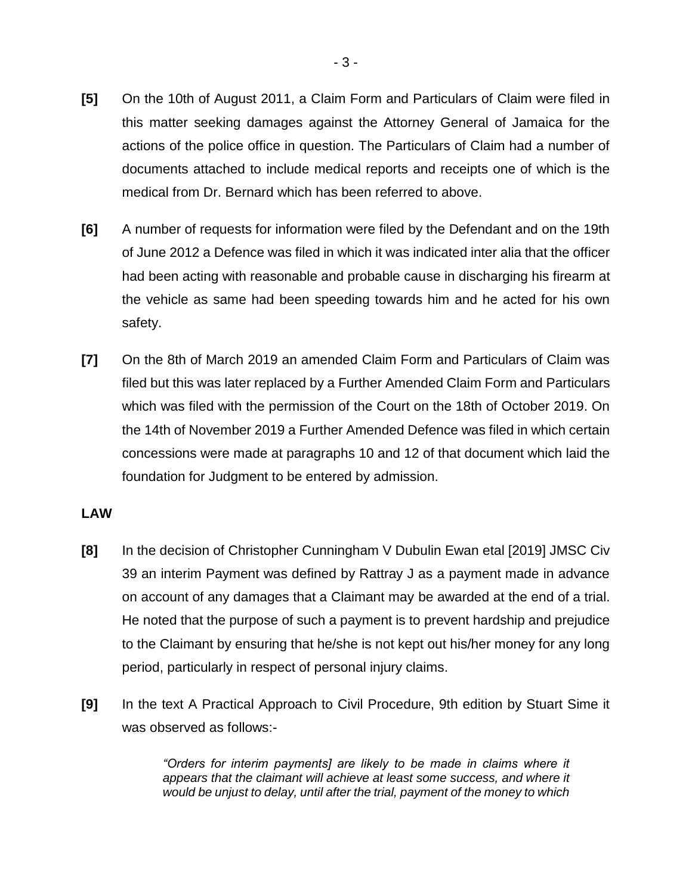- **[5]** On the 10th of August 2011, a Claim Form and Particulars of Claim were filed in this matter seeking damages against the Attorney General of Jamaica for the actions of the police office in question. The Particulars of Claim had a number of documents attached to include medical reports and receipts one of which is the medical from Dr. Bernard which has been referred to above.
- **[6]** A number of requests for information were filed by the Defendant and on the 19th of June 2012 a Defence was filed in which it was indicated inter alia that the officer had been acting with reasonable and probable cause in discharging his firearm at the vehicle as same had been speeding towards him and he acted for his own safety.
- **[7]** On the 8th of March 2019 an amended Claim Form and Particulars of Claim was filed but this was later replaced by a Further Amended Claim Form and Particulars which was filed with the permission of the Court on the 18th of October 2019. On the 14th of November 2019 a Further Amended Defence was filed in which certain concessions were made at paragraphs 10 and 12 of that document which laid the foundation for Judgment to be entered by admission.

### **LAW**

- **[8]** In the decision of Christopher Cunningham V Dubulin Ewan etal [2019] JMSC Civ 39 an interim Payment was defined by Rattray J as a payment made in advance on account of any damages that a Claimant may be awarded at the end of a trial. He noted that the purpose of such a payment is to prevent hardship and prejudice to the Claimant by ensuring that he/she is not kept out his/her money for any long period, particularly in respect of personal injury claims.
- **[9]** In the text A Practical Approach to Civil Procedure, 9th edition by Stuart Sime it was observed as follows:-

*"Orders for interim payments] are likely to be made in claims where it appears that the claimant will achieve at least some success, and where it would be unjust to delay, until after the trial, payment of the money to which*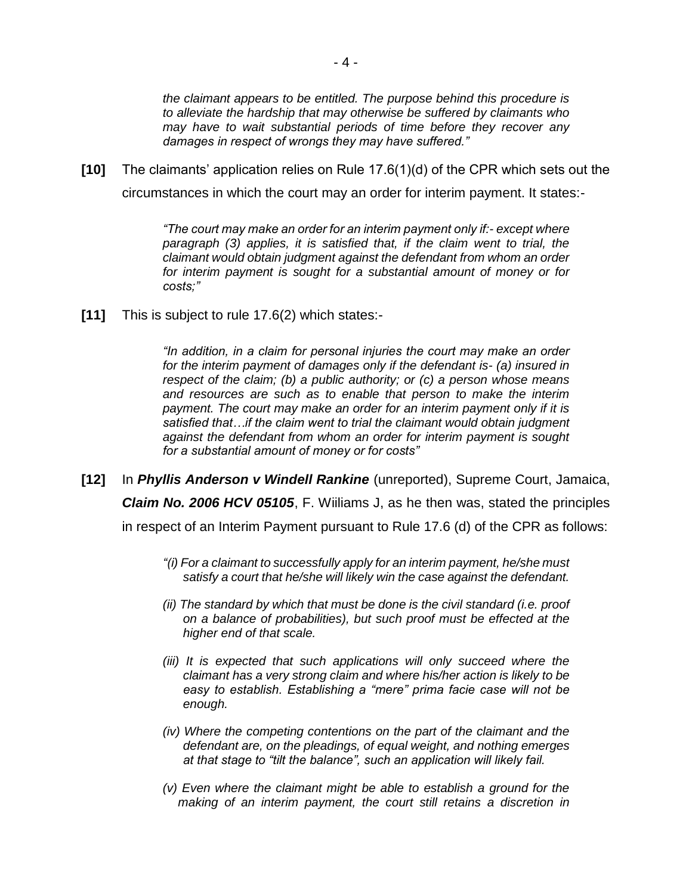*the claimant appears to be entitled. The purpose behind this procedure is to alleviate the hardship that may otherwise be suffered by claimants who may have to wait substantial periods of time before they recover any damages in respect of wrongs they may have suffered."*

**[10]** The claimants' application relies on Rule 17.6(1)(d) of the CPR which sets out the circumstances in which the court may an order for interim payment. It states:-

> *"The court may make an order for an interim payment only if:- except where paragraph (3) applies, it is satisfied that, if the claim went to trial, the claimant would obtain judgment against the defendant from whom an order for interim payment is sought for a substantial amount of money or for costs;"*

**[11]** This is subject to rule 17.6(2) which states:-

*"In addition, in a claim for personal injuries the court may make an order for the interim payment of damages only if the defendant is- (a) insured in respect of the claim; (b) a public authority; or (c) a person whose means and resources are such as to enable that person to make the interim payment. The court may make an order for an interim payment only if it is satisfied that…if the claim went to trial the claimant would obtain judgment against the defendant from whom an order for interim payment is sought for a substantial amount of money or for costs"*

- **[12]** In *Phyllis Anderson v Windell Rankine* (unreported), Supreme Court, Jamaica, *Claim No. 2006 HCV 05105*, F. Wiiliams J, as he then was, stated the principles in respect of an Interim Payment pursuant to Rule 17.6 (d) of the CPR as follows:
	- *"(i) For a claimant to successfully apply for an interim payment, he/she must satisfy a court that he/she will likely win the case against the defendant.*
	- *(ii) The standard by which that must be done is the civil standard (i.e. proof on a balance of probabilities), but such proof must be effected at the higher end of that scale.*
	- *(iii)* It is expected that such applications will only succeed where the *claimant has a very strong claim and where his/her action is likely to be easy to establish. Establishing a "mere" prima facie case will not be enough.*
	- *(iv) Where the competing contentions on the part of the claimant and the defendant are, on the pleadings, of equal weight, and nothing emerges at that stage to "tilt the balance", such an application will likely fail.*
	- *(v) Even where the claimant might be able to establish a ground for the making of an interim payment, the court still retains a discretion in*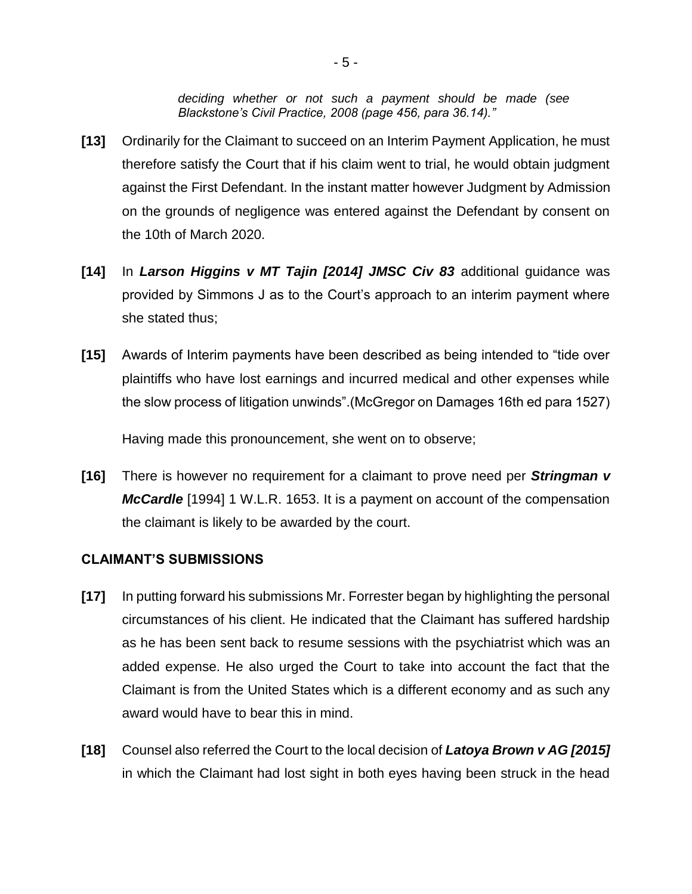*deciding whether or not such a payment should be made (see Blackstone's Civil Practice, 2008 (page 456, para 36.14)."* 

- **[13]** Ordinarily for the Claimant to succeed on an Interim Payment Application, he must therefore satisfy the Court that if his claim went to trial, he would obtain judgment against the First Defendant. In the instant matter however Judgment by Admission on the grounds of negligence was entered against the Defendant by consent on the 10th of March 2020.
- **[14]** In *Larson Higgins v MT Tajin [2014] JMSC Civ 83* additional guidance was provided by Simmons J as to the Court's approach to an interim payment where she stated thus;
- **[15]** Awards of Interim payments have been described as being intended to "tide over plaintiffs who have lost earnings and incurred medical and other expenses while the slow process of litigation unwinds".(McGregor on Damages 16th ed para 1527)

Having made this pronouncement, she went on to observe;

**[16]** There is however no requirement for a claimant to prove need per *Stringman v McCardle* [1994] 1 W.L.R. 1653. It is a payment on account of the compensation the claimant is likely to be awarded by the court.

### **CLAIMANT'S SUBMISSIONS**

- **[17]** In putting forward his submissions Mr. Forrester began by highlighting the personal circumstances of his client. He indicated that the Claimant has suffered hardship as he has been sent back to resume sessions with the psychiatrist which was an added expense. He also urged the Court to take into account the fact that the Claimant is from the United States which is a different economy and as such any award would have to bear this in mind.
- **[18]** Counsel also referred the Court to the local decision of *Latoya Brown v AG [2015]*  in which the Claimant had lost sight in both eyes having been struck in the head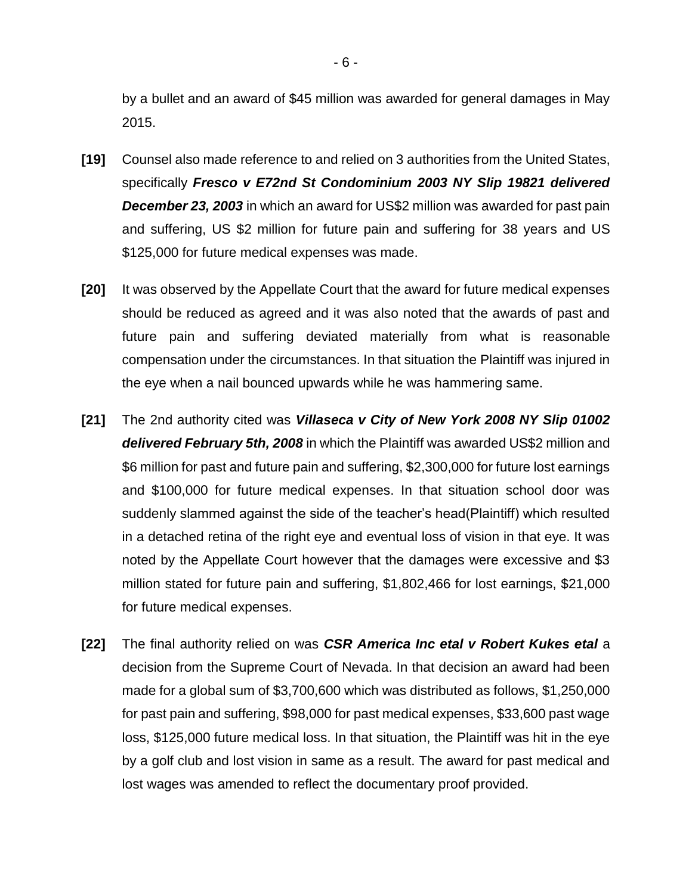by a bullet and an award of \$45 million was awarded for general damages in May 2015.

- **[19]** Counsel also made reference to and relied on 3 authorities from the United States, specifically *Fresco v E72nd St Condominium 2003 NY Slip 19821 delivered December 23, 2003* in which an award for US\$2 million was awarded for past pain and suffering, US \$2 million for future pain and suffering for 38 years and US \$125,000 for future medical expenses was made.
- **[20]** It was observed by the Appellate Court that the award for future medical expenses should be reduced as agreed and it was also noted that the awards of past and future pain and suffering deviated materially from what is reasonable compensation under the circumstances. In that situation the Plaintiff was injured in the eye when a nail bounced upwards while he was hammering same.
- **[21]** The 2nd authority cited was *Villaseca v City of New York 2008 NY Slip 01002 delivered February 5th, 2008* in which the Plaintiff was awarded US\$2 million and \$6 million for past and future pain and suffering, \$2,300,000 for future lost earnings and \$100,000 for future medical expenses. In that situation school door was suddenly slammed against the side of the teacher's head(Plaintiff) which resulted in a detached retina of the right eye and eventual loss of vision in that eye. It was noted by the Appellate Court however that the damages were excessive and \$3 million stated for future pain and suffering, \$1,802,466 for lost earnings, \$21,000 for future medical expenses.
- **[22]** The final authority relied on was *CSR America Inc etal v Robert Kukes etal* a decision from the Supreme Court of Nevada. In that decision an award had been made for a global sum of \$3,700,600 which was distributed as follows, \$1,250,000 for past pain and suffering, \$98,000 for past medical expenses, \$33,600 past wage loss, \$125,000 future medical loss. In that situation, the Plaintiff was hit in the eye by a golf club and lost vision in same as a result. The award for past medical and lost wages was amended to reflect the documentary proof provided.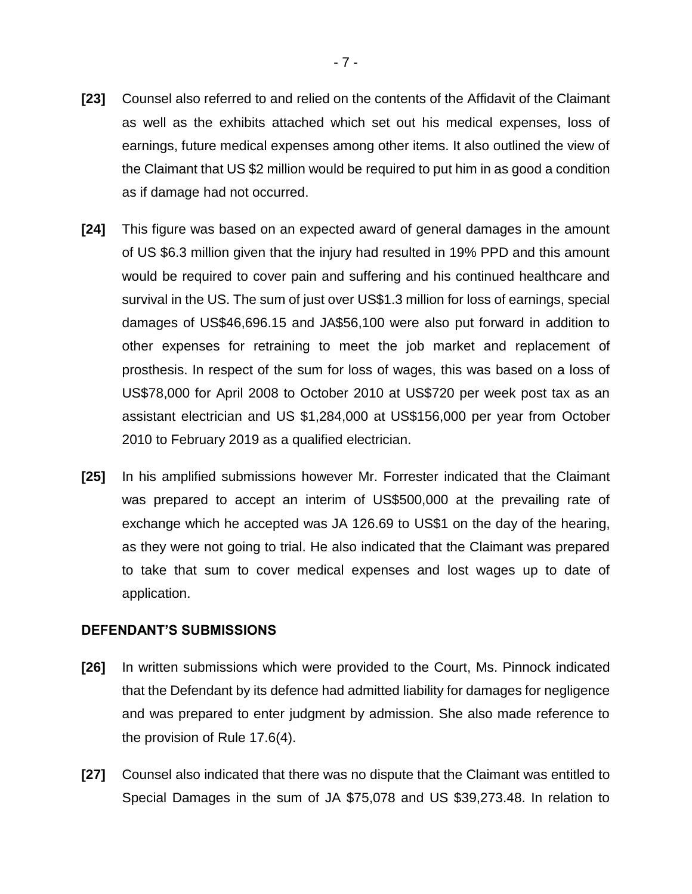- **[23]** Counsel also referred to and relied on the contents of the Affidavit of the Claimant as well as the exhibits attached which set out his medical expenses, loss of earnings, future medical expenses among other items. It also outlined the view of the Claimant that US \$2 million would be required to put him in as good a condition as if damage had not occurred.
- **[24]** This figure was based on an expected award of general damages in the amount of US \$6.3 million given that the injury had resulted in 19% PPD and this amount would be required to cover pain and suffering and his continued healthcare and survival in the US. The sum of just over US\$1.3 million for loss of earnings, special damages of US\$46,696.15 and JA\$56,100 were also put forward in addition to other expenses for retraining to meet the job market and replacement of prosthesis. In respect of the sum for loss of wages, this was based on a loss of US\$78,000 for April 2008 to October 2010 at US\$720 per week post tax as an assistant electrician and US \$1,284,000 at US\$156,000 per year from October 2010 to February 2019 as a qualified electrician.
- **[25]** In his amplified submissions however Mr. Forrester indicated that the Claimant was prepared to accept an interim of US\$500,000 at the prevailing rate of exchange which he accepted was JA 126.69 to US\$1 on the day of the hearing, as they were not going to trial. He also indicated that the Claimant was prepared to take that sum to cover medical expenses and lost wages up to date of application.

#### **DEFENDANT'S SUBMISSIONS**

- **[26]** In written submissions which were provided to the Court, Ms. Pinnock indicated that the Defendant by its defence had admitted liability for damages for negligence and was prepared to enter judgment by admission. She also made reference to the provision of Rule 17.6(4).
- **[27]** Counsel also indicated that there was no dispute that the Claimant was entitled to Special Damages in the sum of JA \$75,078 and US \$39,273.48. In relation to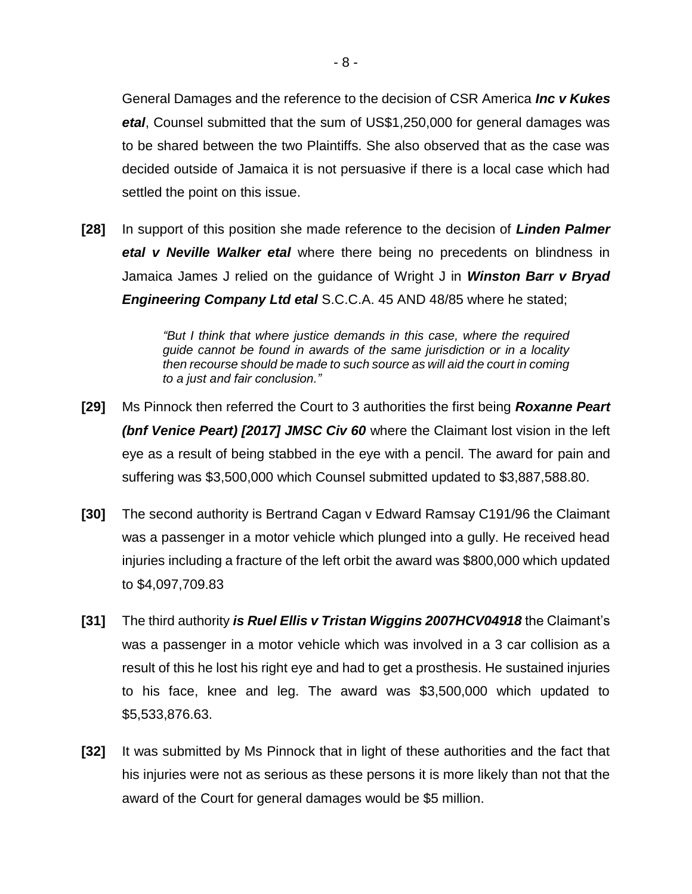General Damages and the reference to the decision of CSR America *Inc v Kukes etal*, Counsel submitted that the sum of US\$1,250,000 for general damages was to be shared between the two Plaintiffs. She also observed that as the case was decided outside of Jamaica it is not persuasive if there is a local case which had settled the point on this issue.

**[28]** In support of this position she made reference to the decision of *Linden Palmer etal v Neville Walker etal* where there being no precedents on blindness in Jamaica James J relied on the guidance of Wright J in *Winston Barr v Bryad Engineering Company Ltd etal* S.C.C.A. 45 AND 48/85 where he stated;

> *"But I think that where justice demands in this case, where the required guide cannot be found in awards of the same jurisdiction or in a locality then recourse should be made to such source as will aid the court in coming to a just and fair conclusion."*

- **[29]** Ms Pinnock then referred the Court to 3 authorities the first being *Roxanne Peart (bnf Venice Peart) [2017] JMSC Civ 60* where the Claimant lost vision in the left eye as a result of being stabbed in the eye with a pencil. The award for pain and suffering was \$3,500,000 which Counsel submitted updated to \$3,887,588.80.
- **[30]** The second authority is Bertrand Cagan v Edward Ramsay C191/96 the Claimant was a passenger in a motor vehicle which plunged into a gully. He received head injuries including a fracture of the left orbit the award was \$800,000 which updated to \$4,097,709.83
- **[31]** The third authority *is Ruel Ellis v Tristan Wiggins 2007HCV04918* the Claimant's was a passenger in a motor vehicle which was involved in a 3 car collision as a result of this he lost his right eye and had to get a prosthesis. He sustained injuries to his face, knee and leg. The award was \$3,500,000 which updated to \$5,533,876.63.
- **[32]** It was submitted by Ms Pinnock that in light of these authorities and the fact that his injuries were not as serious as these persons it is more likely than not that the award of the Court for general damages would be \$5 million.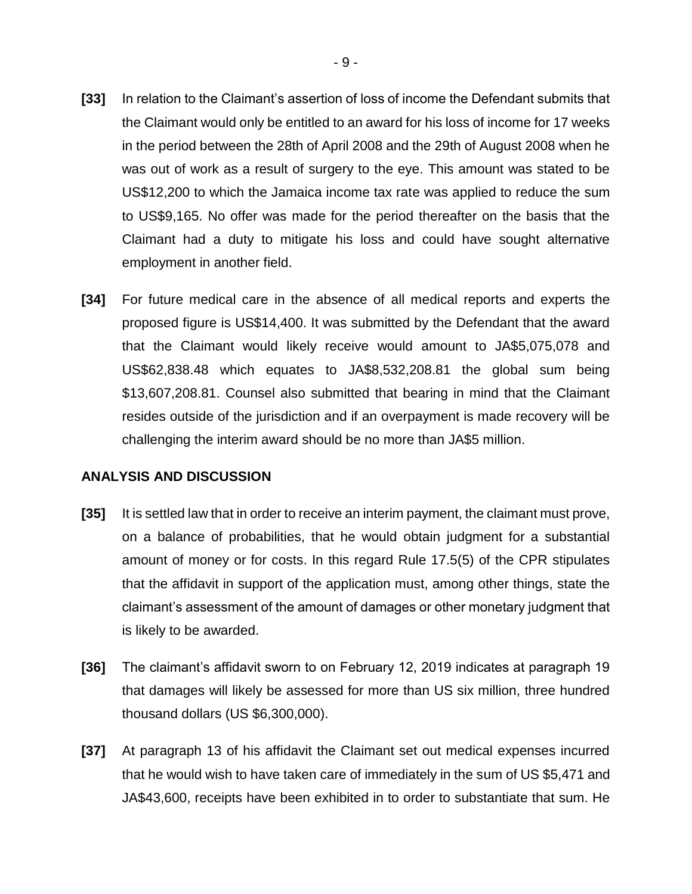- **[33]** In relation to the Claimant's assertion of loss of income the Defendant submits that the Claimant would only be entitled to an award for his loss of income for 17 weeks in the period between the 28th of April 2008 and the 29th of August 2008 when he was out of work as a result of surgery to the eye. This amount was stated to be US\$12,200 to which the Jamaica income tax rate was applied to reduce the sum to US\$9,165. No offer was made for the period thereafter on the basis that the Claimant had a duty to mitigate his loss and could have sought alternative employment in another field.
- **[34]** For future medical care in the absence of all medical reports and experts the proposed figure is US\$14,400. It was submitted by the Defendant that the award that the Claimant would likely receive would amount to JA\$5,075,078 and US\$62,838.48 which equates to JA\$8,532,208.81 the global sum being \$13,607,208.81. Counsel also submitted that bearing in mind that the Claimant resides outside of the jurisdiction and if an overpayment is made recovery will be challenging the interim award should be no more than JA\$5 million.

#### **ANALYSIS AND DISCUSSION**

- **[35]** It is settled law that in order to receive an interim payment, the claimant must prove, on a balance of probabilities, that he would obtain judgment for a substantial amount of money or for costs. In this regard Rule 17.5(5) of the CPR stipulates that the affidavit in support of the application must, among other things, state the claimant's assessment of the amount of damages or other monetary judgment that is likely to be awarded.
- **[36]** The claimant's affidavit sworn to on February 12, 2019 indicates at paragraph 19 that damages will likely be assessed for more than US six million, three hundred thousand dollars (US \$6,300,000).
- **[37]** At paragraph 13 of his affidavit the Claimant set out medical expenses incurred that he would wish to have taken care of immediately in the sum of US \$5,471 and JA\$43,600, receipts have been exhibited in to order to substantiate that sum. He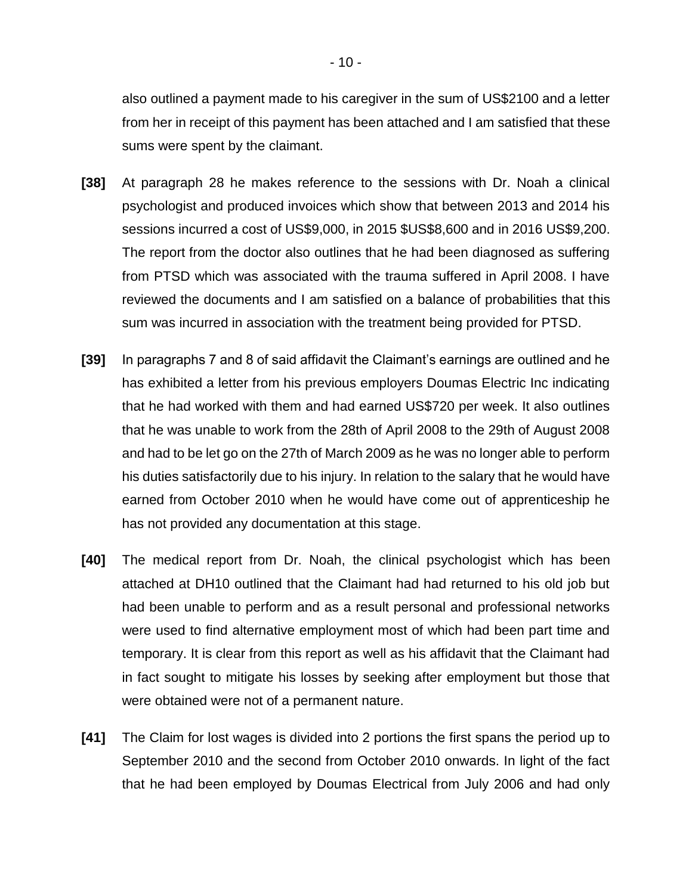also outlined a payment made to his caregiver in the sum of US\$2100 and a letter from her in receipt of this payment has been attached and I am satisfied that these sums were spent by the claimant.

- **[38]** At paragraph 28 he makes reference to the sessions with Dr. Noah a clinical psychologist and produced invoices which show that between 2013 and 2014 his sessions incurred a cost of US\$9,000, in 2015 \$US\$8,600 and in 2016 US\$9,200. The report from the doctor also outlines that he had been diagnosed as suffering from PTSD which was associated with the trauma suffered in April 2008. I have reviewed the documents and I am satisfied on a balance of probabilities that this sum was incurred in association with the treatment being provided for PTSD.
- **[39]** In paragraphs 7 and 8 of said affidavit the Claimant's earnings are outlined and he has exhibited a letter from his previous employers Doumas Electric Inc indicating that he had worked with them and had earned US\$720 per week. It also outlines that he was unable to work from the 28th of April 2008 to the 29th of August 2008 and had to be let go on the 27th of March 2009 as he was no longer able to perform his duties satisfactorily due to his injury. In relation to the salary that he would have earned from October 2010 when he would have come out of apprenticeship he has not provided any documentation at this stage.
- **[40]** The medical report from Dr. Noah, the clinical psychologist which has been attached at DH10 outlined that the Claimant had had returned to his old job but had been unable to perform and as a result personal and professional networks were used to find alternative employment most of which had been part time and temporary. It is clear from this report as well as his affidavit that the Claimant had in fact sought to mitigate his losses by seeking after employment but those that were obtained were not of a permanent nature.
- **[41]** The Claim for lost wages is divided into 2 portions the first spans the period up to September 2010 and the second from October 2010 onwards. In light of the fact that he had been employed by Doumas Electrical from July 2006 and had only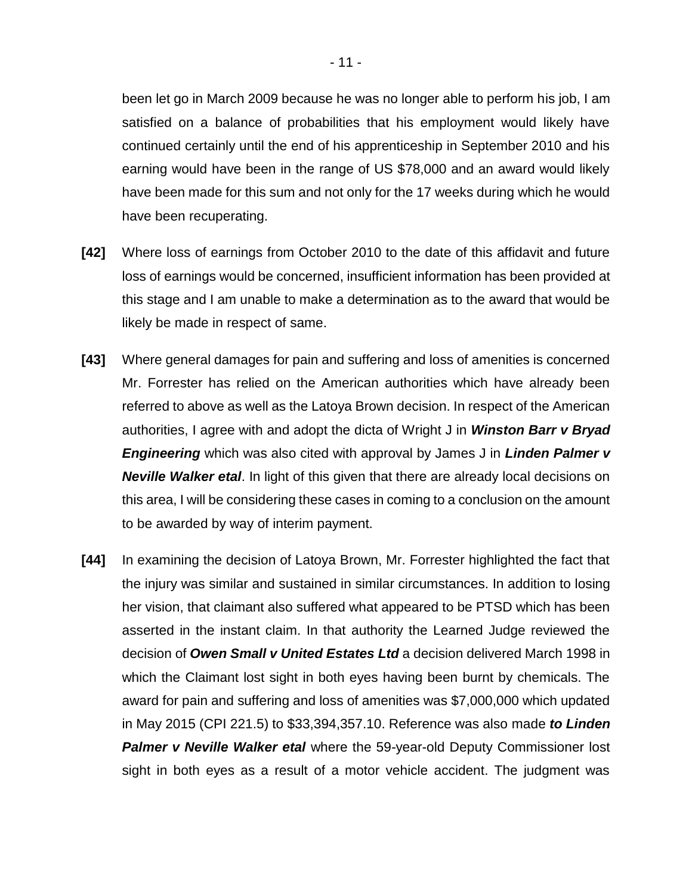been let go in March 2009 because he was no longer able to perform his job, I am satisfied on a balance of probabilities that his employment would likely have continued certainly until the end of his apprenticeship in September 2010 and his earning would have been in the range of US \$78,000 and an award would likely have been made for this sum and not only for the 17 weeks during which he would have been recuperating.

- **[42]** Where loss of earnings from October 2010 to the date of this affidavit and future loss of earnings would be concerned, insufficient information has been provided at this stage and I am unable to make a determination as to the award that would be likely be made in respect of same.
- **[43]** Where general damages for pain and suffering and loss of amenities is concerned Mr. Forrester has relied on the American authorities which have already been referred to above as well as the Latoya Brown decision. In respect of the American authorities, I agree with and adopt the dicta of Wright J in *Winston Barr v Bryad Engineering* which was also cited with approval by James J in *Linden Palmer v Neville Walker etal*. In light of this given that there are already local decisions on this area, I will be considering these cases in coming to a conclusion on the amount to be awarded by way of interim payment.
- **[44]** In examining the decision of Latoya Brown, Mr. Forrester highlighted the fact that the injury was similar and sustained in similar circumstances. In addition to losing her vision, that claimant also suffered what appeared to be PTSD which has been asserted in the instant claim. In that authority the Learned Judge reviewed the decision of *Owen Small v United Estates Ltd* a decision delivered March 1998 in which the Claimant lost sight in both eyes having been burnt by chemicals. The award for pain and suffering and loss of amenities was \$7,000,000 which updated in May 2015 (CPI 221.5) to \$33,394,357.10. Reference was also made *to Linden Palmer v Neville Walker etal* where the 59-year-old Deputy Commissioner lost sight in both eyes as a result of a motor vehicle accident. The judgment was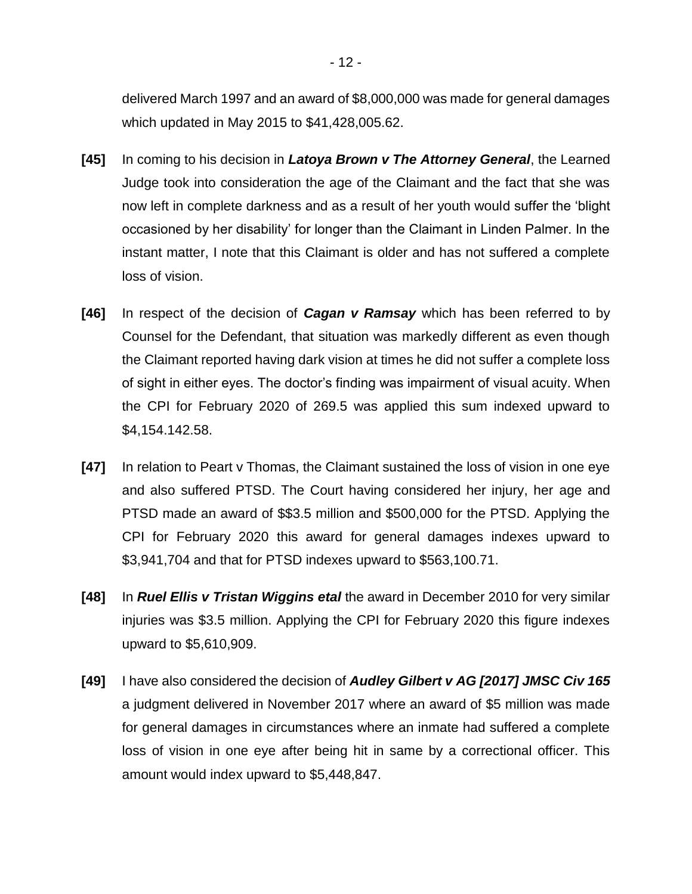delivered March 1997 and an award of \$8,000,000 was made for general damages which updated in May 2015 to \$41,428,005.62.

- **[45]** In coming to his decision in *Latoya Brown v The Attorney General*, the Learned Judge took into consideration the age of the Claimant and the fact that she was now left in complete darkness and as a result of her youth would suffer the 'blight occasioned by her disability' for longer than the Claimant in Linden Palmer. In the instant matter, I note that this Claimant is older and has not suffered a complete loss of vision.
- **[46]** In respect of the decision of *Cagan v Ramsay* which has been referred to by Counsel for the Defendant, that situation was markedly different as even though the Claimant reported having dark vision at times he did not suffer a complete loss of sight in either eyes. The doctor's finding was impairment of visual acuity. When the CPI for February 2020 of 269.5 was applied this sum indexed upward to \$4,154.142.58.
- **[47]** In relation to Peart v Thomas, the Claimant sustained the loss of vision in one eye and also suffered PTSD. The Court having considered her injury, her age and PTSD made an award of \$\$3.5 million and \$500,000 for the PTSD. Applying the CPI for February 2020 this award for general damages indexes upward to \$3,941,704 and that for PTSD indexes upward to \$563,100.71.
- **[48]** In *Ruel Ellis v Tristan Wiggins etal* the award in December 2010 for very similar injuries was \$3.5 million. Applying the CPI for February 2020 this figure indexes upward to \$5,610,909.
- **[49]** I have also considered the decision of *Audley Gilbert v AG [2017] JMSC Civ 165* a judgment delivered in November 2017 where an award of \$5 million was made for general damages in circumstances where an inmate had suffered a complete loss of vision in one eye after being hit in same by a correctional officer. This amount would index upward to \$5,448,847.